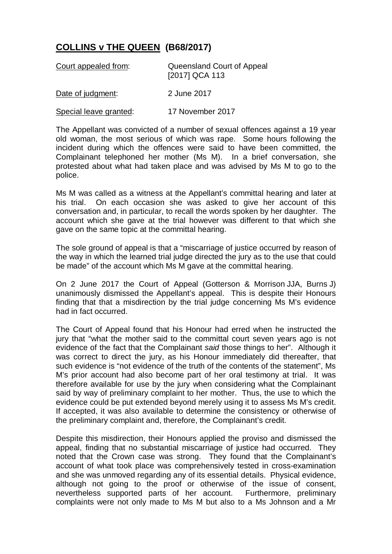## **COLLINS v THE QUEEN (B68/2017)**

| Court appealed from:   | Queensland Court of Appeal<br>[2017] QCA 113 |
|------------------------|----------------------------------------------|
| Date of judgment:      | 2 June 2017                                  |
| Special leave granted: | 17 November 2017                             |

The Appellant was convicted of a number of sexual offences against a 19 year old woman, the most serious of which was rape. Some hours following the incident during which the offences were said to have been committed, the Complainant telephoned her mother (Ms M). In a brief conversation, she protested about what had taken place and was advised by Ms M to go to the police.

Ms M was called as a witness at the Appellant's committal hearing and later at his trial. On each occasion she was asked to give her account of this conversation and, in particular, to recall the words spoken by her daughter. The account which she gave at the trial however was different to that which she gave on the same topic at the committal hearing.

The sole ground of appeal is that a "miscarriage of justice occurred by reason of the way in which the learned trial judge directed the jury as to the use that could be made" of the account which Ms M gave at the committal hearing.

On 2 June 2017 the Court of Appeal (Gotterson & Morrison JJA, Burns J) unanimously dismissed the Appellant's appeal. This is despite their Honours finding that that a misdirection by the trial judge concerning Ms M's evidence had in fact occurred.

The Court of Appeal found that his Honour had erred when he instructed the jury that "what the mother said to the committal court seven years ago is not evidence of the fact that the Complainant *said* those things to her". Although it was correct to direct the jury, as his Honour immediately did thereafter, that such evidence is "not evidence of the truth of the contents of the statement", Ms M's prior account had also become part of her oral testimony at trial. It was therefore available for use by the jury when considering what the Complainant said by way of preliminary complaint to her mother. Thus, the use to which the evidence could be put extended beyond merely using it to assess Ms M's credit. If accepted, it was also available to determine the consistency or otherwise of the preliminary complaint and, therefore, the Complainant's credit.

Despite this misdirection, their Honours applied the proviso and dismissed the appeal, finding that no substantial miscarriage of justice had occurred. They noted that the Crown case was strong. They found that the Complainant's account of what took place was comprehensively tested in cross-examination and she was unmoved regarding any of its essential details. Physical evidence, although not going to the proof or otherwise of the issue of consent, nevertheless supported parts of her account. Furthermore, preliminary complaints were not only made to Ms M but also to a Ms Johnson and a Mr